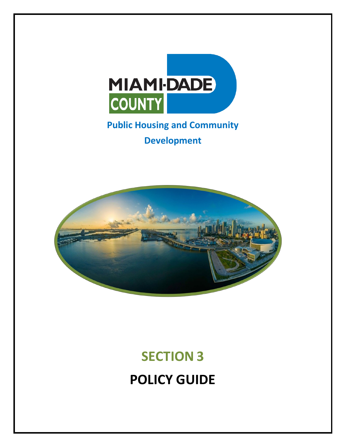

## **Public Housing and Community Development**



# **SECTION 3 POLICY GUIDE**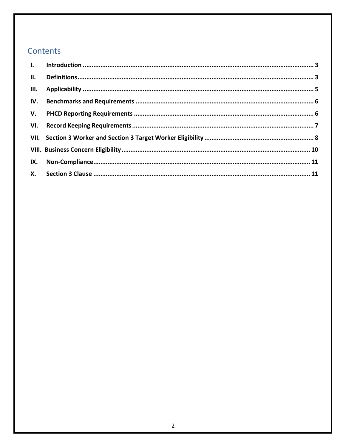### Contents

| III. |  |
|------|--|
| IV.  |  |
|      |  |
| VI.  |  |
|      |  |
|      |  |
| IX.  |  |
|      |  |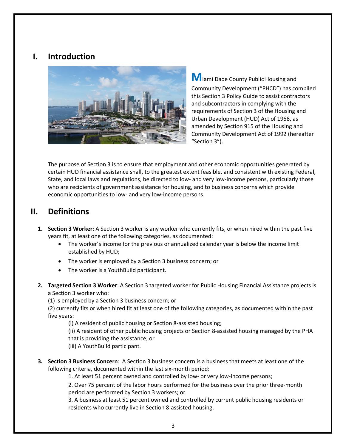#### <span id="page-2-0"></span>**I. Introduction**



**M**iami Dade County Public Housing and Community Development ("PHCD") has compiled this Section 3 Policy Guide to assist contractors and subcontractors in complying with the requirements of Section 3 of the Housing and Urban Development (HUD) Act of 1968, as amended by Section 915 of the Housing and Community Development Act of 1992 (hereafter "Section 3").

The purpose of Section 3 is to ensure that employment and other economic opportunities generated by certain HUD financial assistance shall, to the greatest extent feasible, and consistent with existing Federal, State, and local laws and regulations, be directed to low- and very low-income persons, particularly those who are recipients of government assistance for housing, and to business concerns which provide economic opportunities to low- and very low-income persons.

#### <span id="page-2-1"></span>**II. Definitions**

- **1. Section 3 Worker:** A Section 3 worker is any worker who currently fits, or when hired within the past five years fit, at least one of the following categories, as documented:
	- The worker's income for the previous or annualized calendar year is below the income limit established by HUD;
	- The worker is employed by a Section 3 business concern; or
	- The worker is a YouthBuild participant.
- **2. Targeted Section 3 Worker**: A Section 3 targeted worker for Public Housing Financial Assistance projects is a Section 3 worker who:

(1) is employed by a Section 3 business concern; or

(2) currently fits or when hired fit at least one of the following categories, as documented within the past five years:

(i) A resident of public housing or Section 8-assisted housing;

(ii) A resident of other public housing projects or Section 8-assisted housing managed by the PHA that is providing the assistance; or

(iii) A YouthBuild participant.

**3. Section 3 Business Concern**: A Section 3 business concern is a business that meets at least one of the following criteria, documented within the last six-month period:

1. At least 51 percent owned and controlled by low- or very low-income persons;

2. Over 75 percent of the labor hours performed for the business over the prior three-month period are performed by Section 3 workers; or

3. A business at least 51 percent owned and controlled by current public housing residents or residents who currently live in Section 8-assisted housing.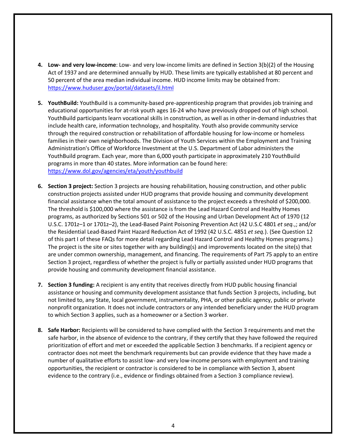- **4. Low- and very low-income**: Low- and very low-income limits are defined in Section 3(b)(2) of the Housing Act of 1937 and are determined annually by HUD. These limits are typically established at 80 percent and 50 percent of the area median individual income. HUD income limits may be obtained from: <https://www.huduser.gov/portal/datasets/il.html>
- **5. YouthBuild:** YouthBuild is a community-based pre-apprenticeship program that provides job training and educational opportunities for at-risk youth ages 16-24 who have previously dropped out of high school. YouthBuild participants learn vocational skills in construction, as well as in other in-demand industries that include health care, information technology, and hospitality. Youth also provide community service through the required construction or rehabilitation of affordable housing for low-income or homeless families in their own neighborhoods. The Division of Youth Services within the Employment and Training Administration's Office of Workforce Investment at the U.S. Department of Labor administers the YouthBuild program. Each year, more than 6,000 youth participate in approximately 210 YouthBuild programs in more than 40 states. More information can be found here: <https://www.dol.gov/agencies/eta/youth/youthbuild>
- **6. Section 3 project:** Section 3 projects are housing rehabilitation, housing construction, and other public construction projects assisted under HUD programs that provide housing and community development financial assistance when the total amount of assistance to the project exceeds a threshold of \$200,000. The threshold is \$100,000 where the assistance is from the Lead Hazard Control and Healthy Homes programs, as authorized by Sections 501 or 502 of the Housing and Urban Development Act of 1970 (12 U.S.C. 1701z–1 or 1701z–2), the Lead-Based Paint Poisoning Prevention Act (42 U.S.C 4801 *et seq.*,; and/or the Residential Lead-Based Paint Hazard Reduction Act of 1992 (42 U.S.C. 4851 *et seq.*). (See Question 12 of this part I of these FAQs for more detail regarding Lead Hazard Control and Healthy Homes programs.) The project is the site or sites together with any building(s) and improvements located on the site(s) that are under common ownership, management, and financing. The requirements of Part 75 apply to an entire Section 3 project, regardless of whether the project is fully or partially assisted under HUD programs that provide housing and community development financial assistance.
- **7. Section 3 funding:** A recipient is any entity that receives directly from HUD public housing financial assistance or housing and community development assistance that funds Section 3 projects, including, but not limited to, any State, local government, instrumentality, PHA, or other public agency, public or private nonprofit organization. It does not include contractors or any intended beneficiary under the HUD program to which Section 3 applies, such as a homeowner or a Section 3 worker.
- **8. Safe Harbor:** Recipients will be considered to have complied with the Section 3 requirements and met the safe harbor, in the absence of evidence to the contrary, if they certify that they have followed the required prioritization of effort and met or exceeded the applicable Section 3 benchmarks. If a recipient agency or contractor does not meet the benchmark requirements but can provide evidence that they have made a number of qualitative efforts to assist low- and very low-income persons with employment and training opportunities, the recipient or contractor is considered to be in compliance with Section 3, absent evidence to the contrary (i.e., evidence or findings obtained from a Section 3 compliance review).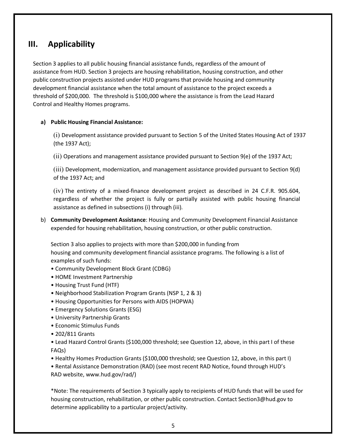#### <span id="page-4-0"></span>**III. Applicability**

Section 3 applies to all public housing financial assistance funds, regardless of the amount of assistance from HUD. Section 3 projects are housing rehabilitation, housing construction, and other public construction projects assisted under HUD programs that provide housing and community development financial assistance when the total amount of assistance to the project exceeds a threshold of \$200,000. The threshold is \$100,000 where the assistance is from the Lead Hazard Control and Healthy Homes programs.

#### **a) Public Housing Financial Assistance:**

(i) Development assistance provided pursuant to Section 5 of the United States Housing Act of 1937 (the 1937 Act);

(ii) Operations and management assistance provided pursuant to Section 9(e) of the 1937 Act;

(iii) Development, modernization, and management assistance provided pursuant to Section 9(d) of the 1937 Act; and

(iv) The entirety of a mixed-finance development project as described in 24 C.F.R. 905.604, regardless of whether the project is fully or partially assisted with public housing financial assistance as defined in subsections (i) through (iii).

b) **Community Development Assistance**: Housing and Community Development Financial Assistance expended for housing rehabilitation, housing construction, or other public construction.

Section 3 also applies to projects with more than \$200,000 in funding from housing and community development financial assistance programs. The following is a list of examples of such funds:

- Community Development Block Grant (CDBG)
- HOME Investment Partnership
- Housing Trust Fund (HTF)
- Neighborhood Stabilization Program Grants (NSP 1, 2 & 3)
- Housing Opportunities for Persons with AIDS (HOPWA)
- Emergency Solutions Grants (ESG)
- University Partnership Grants
- Economic Stimulus Funds
- 202/811 Grants

• Lead Hazard Control Grants (\$100,000 threshold; see Question 12, above, in this part I of these FAQs)

• Healthy Homes Production Grants (\$100,000 threshold; see Question 12, above, in this part I)

• Rental Assistance Demonstration (RAD) (see most recent RAD Notice, found through HUD's RAD website, www.hud.gov/rad/)

\*Note: The requirements of Section 3 typically apply to recipients of HUD funds that will be used for housing construction, rehabilitation, or other public construction. Contact Section3@hud.gov to determine applicability to a particular project/activity.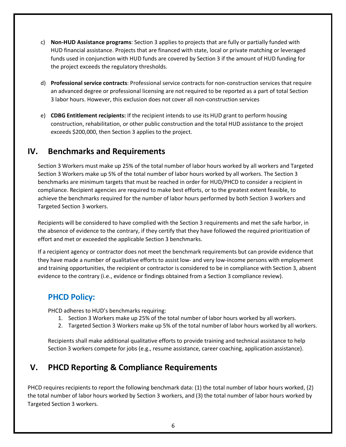- c) **Non-HUD Assistance programs**: Section 3 applies to projects that are fully or partially funded with HUD financial assistance. Projects that are financed with state, local or private matching or leveraged funds used in conjunction with HUD funds are covered by Section 3 if the amount of HUD funding for the project exceeds the regulatory thresholds.
- d) **Professional service contracts**: Professional service contracts for non-construction services that require an advanced degree or professional licensing are not required to be reported as a part of total Section 3 labor hours. However, this exclusion does not cover all non-construction services
- e) **CDBG Entitlement recipients:** If the recipient intends to use its HUD grant to perform housing construction, rehabilitation, or other public construction and the total HUD assistance to the project exceeds \$200,000, then Section 3 applies to the project.

### <span id="page-5-0"></span>**IV. Benchmarks and Requirements**

Section 3 Workers must make up 25% of the total number of labor hours worked by all workers and Targeted Section 3 Workers make up 5% of the total number of labor hours worked by all workers. The Section 3 benchmarks are minimum targets that must be reached in order for HUD/PHCD to consider a recipient in compliance. Recipient agencies are required to make best efforts, or to the greatest extent feasible, to achieve the benchmarks required for the number of labor hours performed by both Section 3 workers and Targeted Section 3 workers.

Recipients will be considered to have complied with the Section 3 requirements and met the safe harbor, in the absence of evidence to the contrary, if they certify that they have followed the required prioritization of effort and met or exceeded the applicable Section 3 benchmarks.

If a recipient agency or contractor does not meet the benchmark requirements but can provide evidence that they have made a number of qualitative efforts to assist low- and very low-income persons with employment and training opportunities, the recipient or contractor is considered to be in compliance with Section 3, absent evidence to the contrary (i.e., evidence or findings obtained from a Section 3 compliance review).

#### **PHCD Policy:**

PHCD adheres to HUD's benchmarks requiring:

- 1. Section 3 Workers make up 25% of the total number of labor hours worked by all workers.
- 2. Targeted Section 3 Workers make up 5% of the total number of labor hours worked by all workers.

Recipients shall make additional qualitative efforts to provide training and technical assistance to help Section 3 workers compete for jobs (e.g., resume assistance, career coaching, application assistance).

## <span id="page-5-1"></span>**V. PHCD Reporting & Compliance Requirements**

PHCD requires recipients to report the following benchmark data: (1) the total number of labor hours worked, (2) the total number of labor hours worked by Section 3 workers, and (3) the total number of labor hours worked by Targeted Section 3 workers.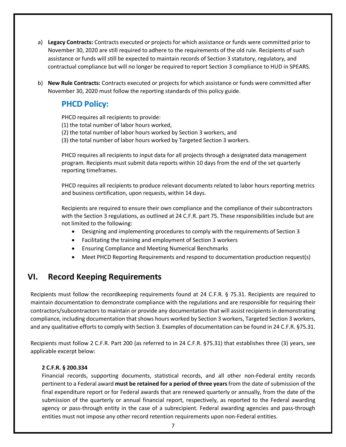- a) **Legacy Contracts:** Contracts executed or projects for which assistance or funds were committed prior to November 30, 2020 are still required to adhere to the requirements of the old rule. Recipients of such assistance or funds will still be expected to maintain records of Section 3 statutory, regulatory, and contractual compliance but will no longer be required to report Section 3 compliance to HUD in SPEARS.
- b) **New Rule Contracts:** Contracts executed or projects for which assistance or funds were committed after November 30, 2020 must follow the reporting standards of this policy guide.

#### **PHCD Policy:**

PHCD requires all recipients to provide:

- (1) the total number of labor hours worked,
- (2) the total number of labor hours worked by Section 3 workers, and
- (3) the total number of labor hours worked by Targeted Section 3 workers.

PHCD requires all recipients to input data for all projects through a designated data management program. Recipients must submit data reports within 10 days from the end of the set quarterly reporting timeframes.

PHCD requires all recipients to produce relevant documents related to labor hours reporting metrics and business certification, upon requests, within 14 days.

Recipients are required to ensure their own compliance and the compliance of their subcontractors with the Section 3 regulations, as outlined at 24 C.F.R. part 75. These responsibilities include but are not limited to the following:

- Designing and implementing procedures to comply with the requirements of Section 3
- Facilitating the training and employment of Section 3 workers
- Ensuring Compliance and Meeting Numerical Benchmarks
- Meet PHCD Reporting Requirements and respond to documentation production request(s)

#### <span id="page-6-0"></span>**VI. Record Keeping Requirements**

Recipients must follow the recordkeeping requirements found at 24 C.F.R. § 75.31. Recipients are required to maintain documentation to demonstrate compliance with the regulations and are responsible for requiring their contractors/subcontractors to maintain or provide any documentation that will assist recipients in demonstrating compliance, including documentation that shows hours worked by Section 3 workers, Targeted Section 3 workers, and any qualitative efforts to comply with Section 3. Examples of documentation can be found in 24 C.F.R. §75.31.

Recipients must follow 2 C.F.R. Part 200 (as referred to in 24 C.F.R. §75.31) that establishes three (3) years, see applicable excerpt below:

#### **2 C.F.R. § 200.334**

Financial records, supporting documents, statistical records, and all other non-Federal entity records pertinent to a Federal award **must be retained for a period of three years**from the date of submission of the final expenditure report or for Federal awards that are renewed quarterly or annually, from the date of the submission of the quarterly or annual financial report, respectively, as reported to the Federal awarding agency or pass-through entity in the case of a subrecipient. Federal awarding agencies and pass-through entities must not impose any other record retention requirements upon non-Federal entities.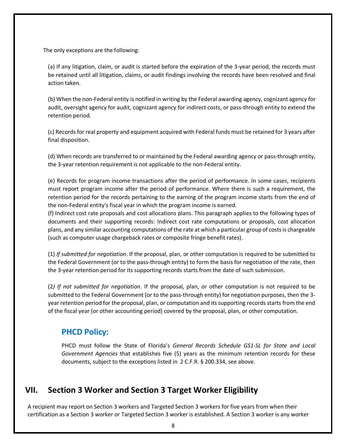The only exceptions are the following:

(a) If any litigation, claim, or audit is started before the expiration of the 3-year period, the records must be retained until all litigation, claims, or audit findings involving the records have been resolved and final action taken.

(b) When the non-Federal entity is notified in writing by the Federal awarding agency, cognizant agency for audit, oversight agency for audit, cognizant agency for indirect costs, or pass-through entity to extend the retention period.

(c) Records for real property and equipment acquired with Federal funds must be retained for 3 years after final disposition.

(d) When records are transferred to or maintained by the Federal awarding agency or pass-through entity, the 3-year retention requirement is not applicable to the non-Federal entity.

(e) Records for program income transactions after the period of performance. In some cases, recipients must report program income after the period of performance. Where there is such a requirement, the retention period for the records pertaining to the earning of the program income starts from the end of the non-Federal entity's fiscal year in which the program income is earned.

(f) Indirect cost rate proposals and cost allocations plans. This paragraph applies to the following types of documents and their supporting records: Indirect cost rate computations or proposals, cost allocation plans, and any similar accounting computations of the rate at which a particular group of costs is chargeable (such as computer usage chargeback rates or composite fringe benefit rates).

(1) *If submitted for negotiation*. If the proposal, plan, or other computation is required to be submitted to the Federal Government (or to the pass-through entity) to form the basis for negotiation of the rate, then the 3-year retention period for its supporting records starts from the date of such submission.

(2*) If not submitted for negotiation*. If the proposal, plan, or other computation is not required to be submitted to the Federal Government (or to the pass-through entity) for negotiation purposes, then the 3 year retention period for the proposal, plan, or computation and its supporting records starts from the end of the fiscal year (or other accounting period) covered by the proposal, plan, or other computation.

#### **PHCD Policy:**

PHCD must follow the State of Florida's *General Records Schedule GS1-SL for State and Local Government Agencies* that establishes five (5) years as the minimum retention records for these documents, subject to the exceptions listed in 2 C.F.R. § 200.334, see above.

## <span id="page-7-0"></span>**VII. Section 3 Worker and Section 3 Target Worker Eligibility**

A recipient may report on Section 3 workers and Targeted Section 3 workers for five years from when their certification as a Section 3 worker or Targeted Section 3 worker is established. A Section 3 worker is any worker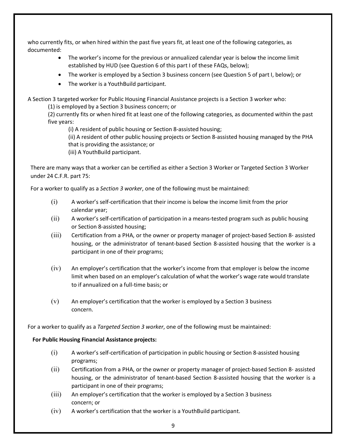who currently fits, or when hired within the past five years fit, at least one of the following categories, as documented:

- The worker's income for the previous or annualized calendar year is below the income limit established by HUD (see Question 6 of this part I of these FAQs, below);
- The worker is employed by a Section 3 business concern (see Question 5 of part I, below); or
- The worker is a YouthBuild participant.

A Section 3 targeted worker for Public Housing Financial Assistance projects is a Section 3 worker who:

(1) is employed by a Section 3 business concern; or

(2) currently fits or when hired fit at least one of the following categories, as documented within the past five years:

(i) A resident of public housing or Section 8-assisted housing;

(ii) A resident of other public housing projects or Section 8-assisted housing managed by the PHA that is providing the assistance; or

(iii) A YouthBuild participant.

There are many ways that a worker can be certified as either a Section 3 Worker or Targeted Section 3 Worker under 24 C.F.R. part 75:

For a worker to qualify as a *Section 3 worker*, one of the following must be maintained:

- (i) A worker's self-certification that their income is below the income limit from the prior calendar year;
- (ii) A worker's self-certification of participation in a means-tested program such as public housing or Section 8-assisted housing;
- (iii) Certification from a PHA, or the owner or property manager of project-based Section 8- assisted housing, or the administrator of tenant-based Section 8-assisted housing that the worker is a participant in one of their programs;
- (iv) An employer's certification that the worker's income from that employer is below the income limit when based on an employer's calculation of what the worker's wage rate would translate to if annualized on a full-time basis; or
- $(v)$  An employer's certification that the worker is employed by a Section 3 business concern.

For a worker to qualify as a *Targeted Section 3 worker*, one of the following must be maintained:

#### **For Public Housing Financial Assistance projects:**

- (i) A worker's self-certification of participation in public housing or Section 8-assisted housing programs;
- (ii) Certification from a PHA, or the owner or property manager of project-based Section 8- assisted housing, or the administrator of tenant-based Section 8-assisted housing that the worker is a participant in one of their programs;
- (iii) An employer's certification that the worker is employed by a Section 3 business concern; or
- (iv) A worker's certification that the worker is a YouthBuild participant.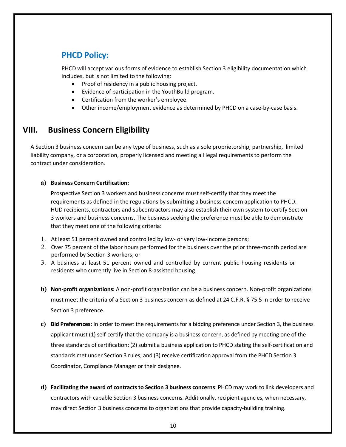## **PHCD Policy:**

PHCD will accept various forms of evidence to establish Section 3 eligibility documentation which includes, but is not limited to the following:

- Proof of residency in a public housing project.
- Evidence of participation in the YouthBuild program.
- Certification from the worker's employee.
- Other income/employment evidence as determined by PHCD on a case-by-case basis.

### <span id="page-9-0"></span>**VIII. Business Concern Eligibility**

A Section 3 business concern can be any type of business, such as a sole proprietorship, partnership, limited liability company, or a corporation, properly licensed and meeting all legal requirements to perform the contract under consideration.

#### **a) Business Concern Certification:**

Prospective Section 3 workers and business concerns must self-certify that they meet the requirements as defined in the regulations by submitting a business concern application to PHCD. HUD recipients, contractors and subcontractors may also establish their own system to certify Section 3 workers and business concerns. The business seeking the preference must be able to demonstrate that they meet one of the following criteria:

- 1. At least 51 percent owned and controlled by low- or very low-income persons;
- 2. Over 75 percent of the labor hours performed for the business over the prior three-month period are performed by Section 3 workers; or
- 3. A business at least 51 percent owned and controlled by current public housing residents or residents who currently live in Section 8-assisted housing.
- **b) Non-profit organizations:** A non-profit organization can be a business concern. Non-profit organizations must meet the criteria of a Section 3 business concern as defined at 24 C.F.R. § 75.5 in order to receive Section 3 preference.
- **c) Bid Preferences:** In order to meet the requirements for a bidding preference under Section 3, the business applicant must (1) self-certify that the company is a business concern, as defined by meeting one of the three standards of certification; (2) submit a business application to PHCD stating the self-certification and standards met under Section 3 rules; and (3) receive certification approval from the PHCD Section 3 Coordinator, Compliance Manager or their designee.
- **d) Facilitating the award of contracts to Section 3 business concerns**: PHCD may work to link developers and contractors with capable Section 3 business concerns. Additionally, recipient agencies, when necessary, may direct Section 3 business concerns to organizations that provide capacity-building training.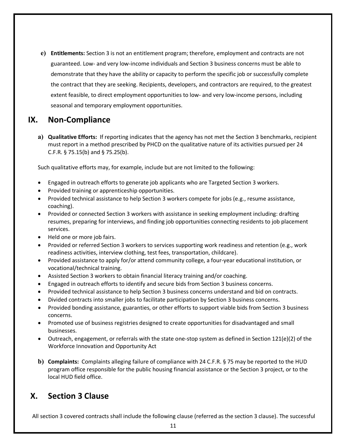**e) Entitlements:** Section 3 is not an entitlement program; therefore, employment and contracts are not guaranteed. Low- and very low-income individuals and Section 3 business concerns must be able to demonstrate that they have the ability or capacity to perform the specific job or successfully complete the contract that they are seeking. Recipients, developers, and contractors are required, to the greatest extent feasible, to direct employment opportunities to low- and very low-income persons, including seasonal and temporary employment opportunities.

#### <span id="page-10-0"></span>**IX. Non-Compliance**

**a) Qualitative Efforts:** If reporting indicates that the agency has not met the Section 3 benchmarks, recipient must report in a method prescribed by PHCD on the qualitative nature of its activities pursued per 24 C.F.R. § 75.15(b) and § 75.25(b).

Such qualitative efforts may, for example, include but are not limited to the following:

- Engaged in outreach efforts to generate job applicants who are Targeted Section 3 workers.
- Provided training or apprenticeship opportunities.
- Provided technical assistance to help Section 3 workers compete for jobs (e.g., resume assistance, coaching).
- Provided or connected Section 3 workers with assistance in seeking employment including: drafting resumes, preparing for interviews, and finding job opportunities connecting residents to job placement services.
- Held one or more job fairs.
- Provided or referred Section 3 workers to services supporting work readiness and retention (e.g., work readiness activities, interview clothing, test fees, transportation, childcare).
- Provided assistance to apply for/or attend community college, a four-year educational institution, or vocational/technical training.
- Assisted Section 3 workers to obtain financial literacy training and/or coaching.
- Engaged in outreach efforts to identify and secure bids from Section 3 business concerns.
- Provided technical assistance to help Section 3 business concerns understand and bid on contracts.
- Divided contracts into smaller jobs to facilitate participation by Section 3 business concerns.
- Provided bonding assistance, guaranties, or other efforts to support viable bids from Section 3 business concerns.
- Promoted use of business registries designed to create opportunities for disadvantaged and small businesses.
- Outreach, engagement, or referrals with the state one-stop system as defined in Section 121(e)(2) of the Workforce Innovation and Opportunity Act
- **b) Complaints:** Complaints alleging failure of compliance with 24 C.F.R. § 75 may be reported to the HUD program office responsible for the public housing financial assistance or the Section 3 project, or to the local HUD field office.

#### <span id="page-10-1"></span>**X. Section 3 Clause**

All section 3 covered contracts shall include the following clause (referred as the section 3 clause). The successful